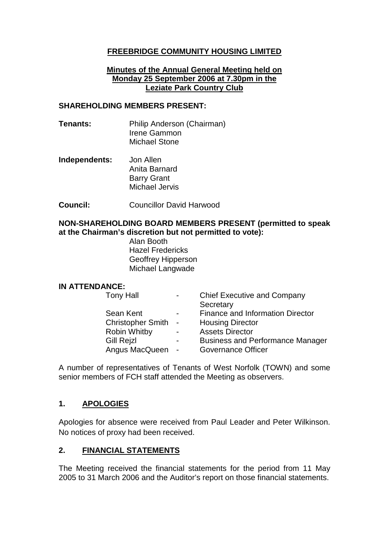## **FREEBRIDGE COMMUNITY HOUSING LIMITED**

### **Minutes of the Annual General Meeting held on Monday 25 September 2006 at 7.30pm in the Leziate Park Country Club**

### **SHAREHOLDING MEMBERS PRESENT:**

- **Tenants:** Philip Anderson (Chairman) Irene Gammon Michael Stone
- **Independents:** Jon Allen Anita Barnard Barry Grant Michael Jervis
- **Council:** Councillor David Harwood

### **NON-SHAREHOLDING BOARD MEMBERS PRESENT (permitted to speak at the Chairman's discretion but not permitted to vote):**

Alan Booth Hazel Fredericks Geoffrey Hipperson Michael Langwade

#### **IN ATTENDANCE:**

| <b>Tony Hall</b>         | $\blacksquare$           | <b>Chief Executive and Company</b><br>Secretary |
|--------------------------|--------------------------|-------------------------------------------------|
| Sean Kent                | $\blacksquare$           | <b>Finance and Information Director</b>         |
| <b>Christopher Smith</b> | $\sim$                   | <b>Housing Director</b>                         |
| <b>Robin Whitby</b>      | $\overline{\phantom{0}}$ | <b>Assets Director</b>                          |
| <b>Gill Rejzl</b>        | $\blacksquare$           | <b>Business and Performance Manager</b>         |
| Angus MacQueen           | $\sim$                   | <b>Governance Officer</b>                       |
|                          |                          |                                                 |

A number of representatives of Tenants of West Norfolk (TOWN) and some senior members of FCH staff attended the Meeting as observers.

### **1. APOLOGIES**

Apologies for absence were received from Paul Leader and Peter Wilkinson. No notices of proxy had been received.

### **2. FINANCIAL STATEMENTS**

The Meeting received the financial statements for the period from 11 May 2005 to 31 March 2006 and the Auditor's report on those financial statements.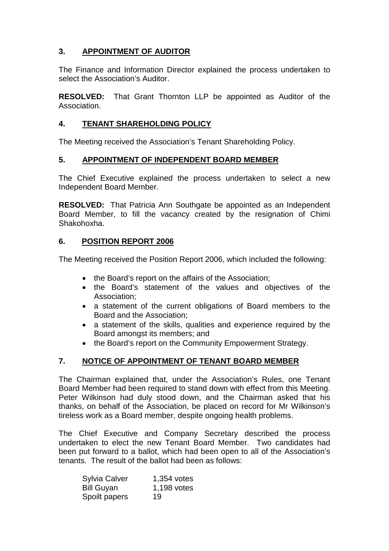## **3. APPOINTMENT OF AUDITOR**

The Finance and Information Director explained the process undertaken to select the Association's Auditor.

**RESOLVED:** That Grant Thornton LLP be appointed as Auditor of the Association.

## **4. TENANT SHAREHOLDING POLICY**

The Meeting received the Association's Tenant Shareholding Policy.

### **5. APPOINTMENT OF INDEPENDENT BOARD MEMBER**

The Chief Executive explained the process undertaken to select a new Independent Board Member.

**RESOLVED:** That Patricia Ann Southgate be appointed as an Independent Board Member, to fill the vacancy created by the resignation of Chimi Shakohoxha.

### **6. POSITION REPORT 2006**

The Meeting received the Position Report 2006, which included the following:

- the Board's report on the affairs of the Association;
- the Board's statement of the values and objectives of the Association;
- a statement of the current obligations of Board members to the Board and the Association;
- a statement of the skills, qualities and experience required by the Board amongst its members; and
- the Board's report on the Community Empowerment Strategy.

## **7. NOTICE OF APPOINTMENT OF TENANT BOARD MEMBER**

The Chairman explained that, under the Association's Rules, one Tenant Board Member had been required to stand down with effect from this Meeting. Peter Wilkinson had duly stood down, and the Chairman asked that his thanks, on behalf of the Association, be placed on record for Mr Wilkinson's tireless work as a Board member, despite ongoing health problems.

The Chief Executive and Company Secretary described the process undertaken to elect the new Tenant Board Member. Two candidates had been put forward to a ballot, which had been open to all of the Association's tenants. The result of the ballot had been as follows:

| <b>Sylvia Calver</b> | 1,354 votes |
|----------------------|-------------|
| <b>Bill Guyan</b>    | 1,198 votes |
| Spoilt papers        | 19          |